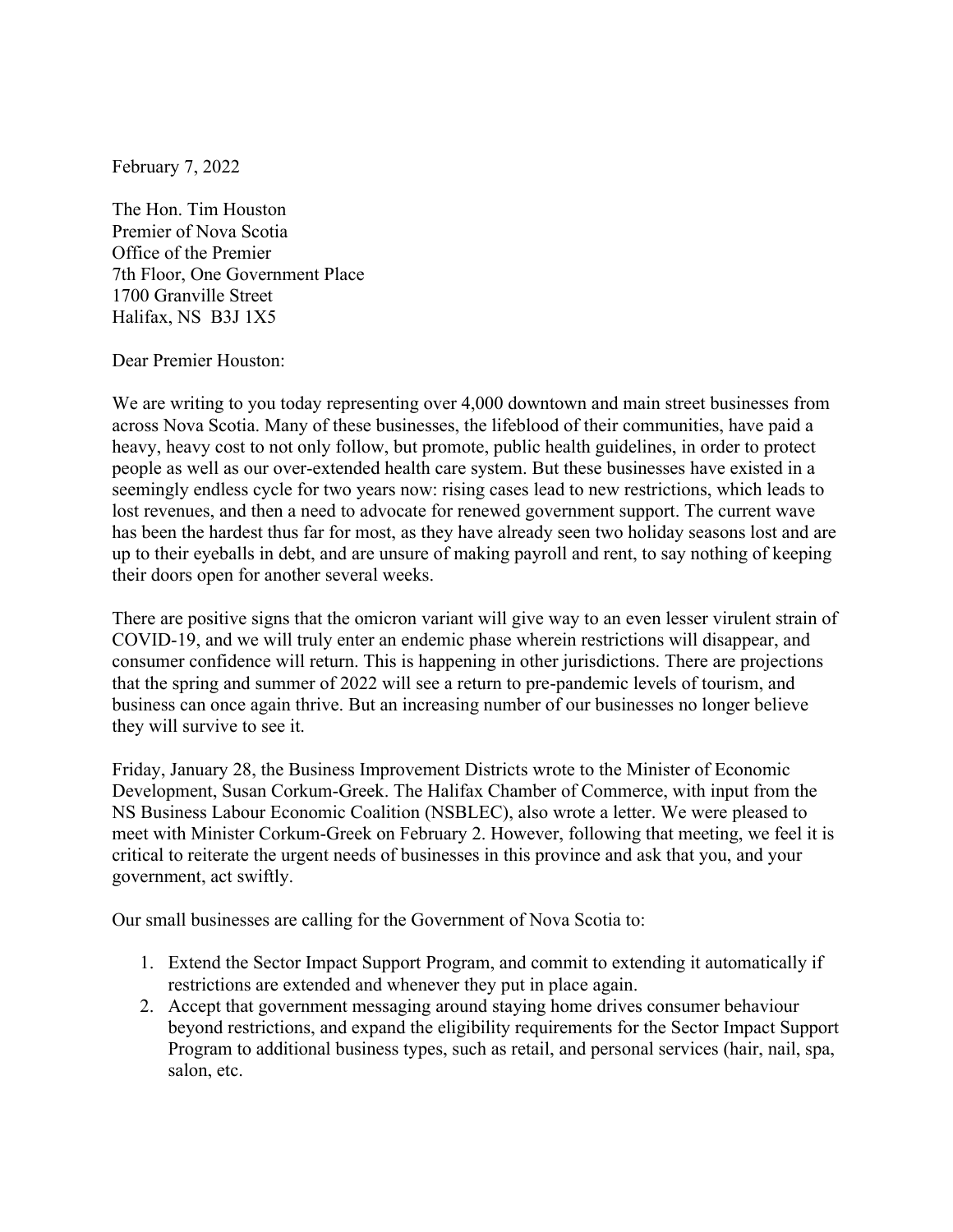February 7, 2022

The Hon. Tim Houston Premier of Nova Scotia Office of the Premier 7th Floor, One Government Place 1700 Granville Street Halifax, NS B3J 1X5

Dear Premier Houston:

We are writing to you today representing over 4,000 downtown and main street businesses from across Nova Scotia. Many of these businesses, the lifeblood of their communities, have paid a heavy, heavy cost to not only follow, but promote, public health guidelines, in order to protect people as well as our over-extended health care system. But these businesses have existed in a seemingly endless cycle for two years now: rising cases lead to new restrictions, which leads to lost revenues, and then a need to advocate for renewed government support. The current wave has been the hardest thus far for most, as they have already seen two holiday seasons lost and are up to their eyeballs in debt, and are unsure of making payroll and rent, to say nothing of keeping their doors open for another several weeks.

There are positive signs that the omicron variant will give way to an even lesser virulent strain of COVID-19, and we will truly enter an endemic phase wherein restrictions will disappear, and consumer confidence will return. This is happening in other jurisdictions. There are projections that the spring and summer of 2022 will see a return to pre-pandemic levels of tourism, and business can once again thrive. But an increasing number of our businesses no longer believe they will survive to see it.

Friday, January 28, the Business Improvement Districts wrote to the Minister of Economic Development, Susan Corkum-Greek. The Halifax Chamber of Commerce, with input from the NS Business Labour Economic Coalition (NSBLEC), also wrote a letter. We were pleased to meet with Minister Corkum-Greek on February 2. However, following that meeting, we feel it is critical to reiterate the urgent needs of businesses in this province and ask that you, and your government, act swiftly.

Our small businesses are calling for the Government of Nova Scotia to:

- 1. Extend the Sector Impact Support Program, and commit to extending it automatically if restrictions are extended and whenever they put in place again.
- 2. Accept that government messaging around staying home drives consumer behaviour beyond restrictions, and expand the eligibility requirements for the Sector Impact Support Program to additional business types, such as retail, and personal services (hair, nail, spa, salon, etc.